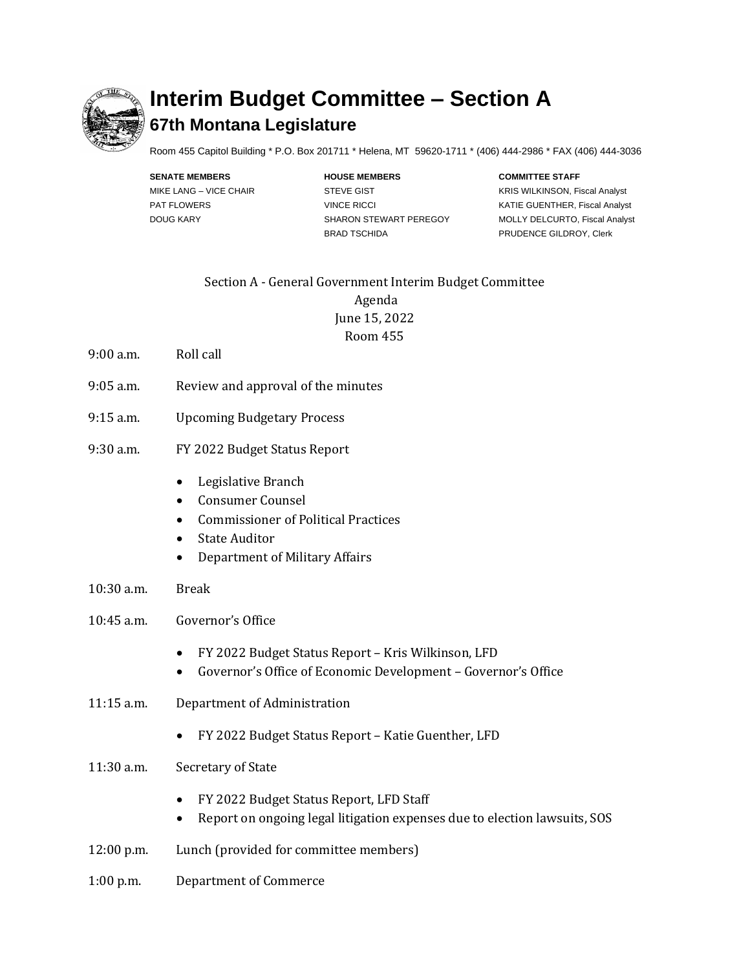

## **Interim Budget Committee – Section A 67th Montana Legislature**

Room 455 Capitol Building \* P.O. Box 201711 \* Helena, MT 59620-1711 \* (406) 444-2986 \* FAX (406) 444-3036

**SENATE MEMBERS HOUSE MEMBERS COMMITTEE STAFF** BRAD TSCHIDA PRUDENCE GILDROY, Clerk

MIKE LANG – VICE CHAIR **STEVE GIST EXAMPLE AND STEVE GIST** KRIS WILKINSON, Fiscal Analyst PAT FLOWERS **EXECUTE:** VINCE RICCI **CONSISTENT MATIE GUENTHER, Fiscal Analyst** DOUG KARY SHARON STEWART PEREGOY MOLLY DELCURTO, Fiscal Analyst

## Section A - General Government Interim Budget Committee Agenda June 15, 2022 Room 455

- 9:00 a.m. Roll call
- 9:05 a.m. Review and approval of the minutes
- 9:15 a.m. Upcoming Budgetary Process
- 9:30 a.m. FY 2022 Budget Status Report
	- Legislative Branch
	- Consumer Counsel
	- Commissioner of Political Practices
	- State Auditor
	- Department of Military Affairs
- 10:30 a.m. Break
- 10:45 a.m. Governor's Office
	- FY 2022 Budget Status Report Kris Wilkinson, LFD
	- Governor's Office of Economic Development Governor's Office
- 11:15 a.m. Department of Administration
	- FY 2022 Budget Status Report Katie Guenther, LFD
- 11:30 a.m. Secretary of State
	- FY 2022 Budget Status Report, LFD Staff
	- Report on ongoing legal litigation expenses due to election lawsuits, SOS
- 12:00 p.m. Lunch (provided for committee members)
- 1:00 p.m. Department of Commerce